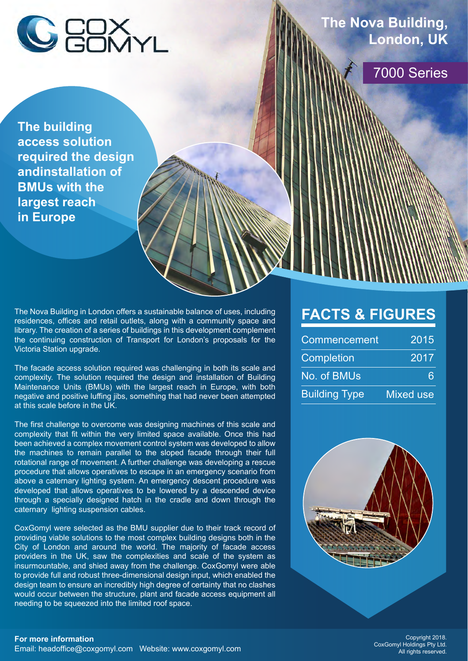

**The building access solution required the design andinstallation of BMUs with the largest reach in Europe**

The Nova Building in London offers a sustainable balance of uses, including residences, offices and retail outlets, along with a community space and library. The creation of a series of buildings in this development complement the continuing construction of Transport for London's proposals for the Victoria Station upgrade.

The facade access solution required was challenging in both its scale and complexity. The solution required the design and installation of Building Maintenance Units (BMUs) with the largest reach in Europe, with both negative and positive luffing jibs, something that had never been attempted at this scale before in the UK.

The first challenge to overcome was designing machines of this scale and complexity that fit within the very limited space available. Once this had been achieved a complex movement control system was developed to allow the machines to remain parallel to the sloped facade through their full rotational range of movement. A further challenge was developing a rescue procedure that allows operatives to escape in an emergency scenario from above a caternary lighting system. An emergency descent procedure was developed that allows operatives to be lowered by a descended device through a specially designed hatch in the cradle and down through the caternary lighting suspension cables.

CoxGomyl were selected as the BMU supplier due to their track record of providing viable solutions to the most complex building designs both in the City of London and around the world. The majority of facade access providers in the UK, saw the complexities and scale of the system as insurmountable, and shied away from the challenge. CoxGomyl were able to provide full and robust three-dimensional design input, which enabled the design team to ensure an incredibly high degree of certainty that no clashes would occur between the structure, plant and facade access equipment all needing to be squeezed into the limited roof space.

## **FACTS & FIGURES**

| Commencement         | 2015             |
|----------------------|------------------|
| <b>Completion</b>    | 2017             |
| No. of BMUs          |                  |
| <b>Building Type</b> | <b>Mixed use</b> |



7000 Series

**London, UK**

**The Nova Building,**